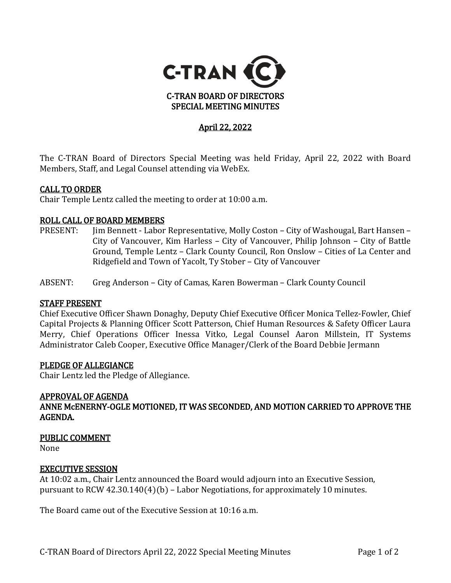

# April 22, 2022

The C-TRAN Board of Directors Special Meeting was held Friday, April 22, 2022 with Board Members, Staff, and Legal Counsel attending via WebEx.

#### CALL TO ORDER

Chair Temple Lentz called the meeting to order at 10:00 a.m.

# **ROLL CALL OF BOARD MEMBERS**<br>PRESENT: lim Bennett - Labor

- Jim Bennett Labor Representative, Molly Coston City of Washougal, Bart Hansen -City of Vancouver, Kim Harless – City of Vancouver, Philip Johnson – City of Battle Ground, Temple Lentz – Clark County Council, Ron Onslow – Cities of La Center and Ridgefield and Town of Yacolt, Ty Stober – City of Vancouver
- ABSENT: Greg Anderson City of Camas, Karen Bowerman Clark County Council

#### STAFF PRESENT

Chief Executive Officer Shawn Donaghy, Deputy Chief Executive Officer Monica Tellez-Fowler, Chief Capital Projects & Planning Officer Scott Patterson, Chief Human Resources & Safety Officer Laura Merry, Chief Operations Officer Inessa Vitko, Legal Counsel Aaron Millstein, IT Systems Administrator Caleb Cooper, Executive Office Manager/Clerk of the Board Debbie Jermann

#### PLEDGE OF ALLEGIANCE

Chair Lentz led the Pledge of Allegiance.

#### APPROVAL OF AGENDA

ANNE McENERNY-OGLE MOTIONED, IT WAS SECONDED, AND MOTION CARRIED TO APPROVE THE AGENDA.

#### PUBLIC COMMENT

None

#### EXECUTIVE SESSION

At 10:02 a.m., Chair Lentz announced the Board would adjourn into an Executive Session, pursuant to RCW 42.30.140(4)(b) – Labor Negotiations, for approximately 10 minutes.

The Board came out of the Executive Session at 10:16 a.m.